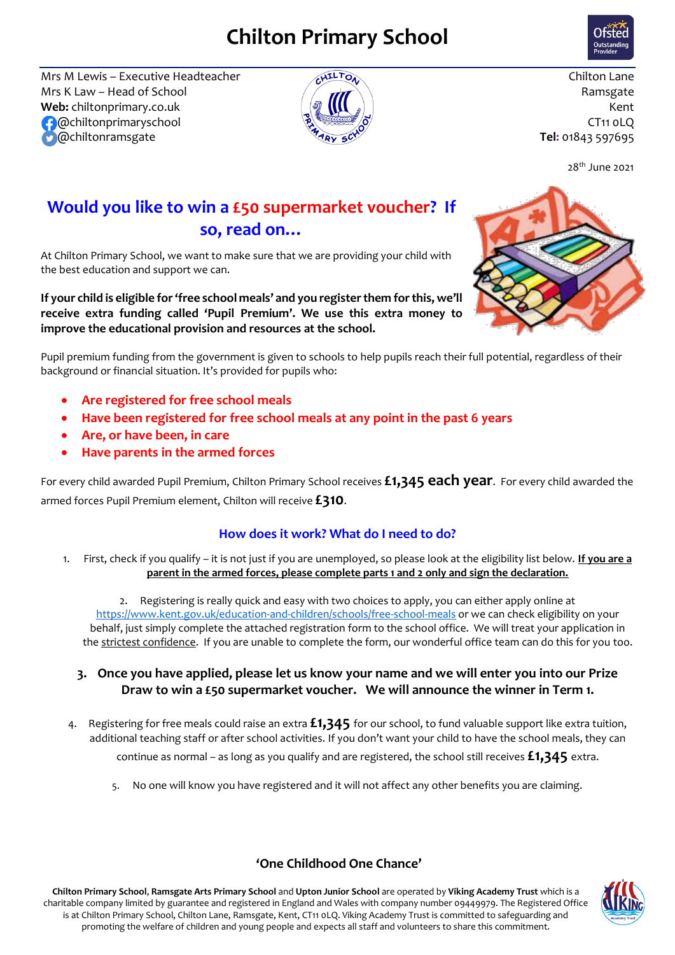# **Chilton Primary School**



Mrs M Lewis – Executive Headteacher  $\sqrt{d}$ <sup>11</sup>  $\sqrt{d}$ Mrs K Law – Head of School  $\overline{A}$   $\overline{A}$   $\overline{A}$   $\overline{A}$  Ramsgate **Web:** chiltonprimary.co.uk  $\langle \partial \hat{y} | \hat{y} | \hat{y} | \hat{y} |$   $\langle \hat{y} | \hat{y} | \hat{y} | \hat{y} | \hat{y} | \hat{y} | \hat{y} | \hat{y} | \hat{y} | \hat{y} | \hat{y} | \hat{y} | \hat{y} | \hat{y} | \hat{y} | \hat{y} | \hat{y} | \hat{y} | \hat{y} | \hat{y} | \hat{y} | \hat{y} | \hat{y} | \hat{y} | \hat{y} | \hat{y} | \hat{$  @chiltonprimaryschool CT11 0LQ @chiltonramsgate **Tel:** 01843 597695



28 th June 2021

## **Would you like to win a £50 supermarket voucher? If so, read on…**

At Chilton Primary School, we want to make sure that we are providing your child with the best education and support we can.

**If your child is eligible for 'free school meals' and you register them for this, we'll receive extra funding called 'Pupil Premium'. We use this extra money to improve the educational provision and resources at the school.**



- **Are registered for free school meals**
- **Have been registered for free school meals at any point in the past 6 years**
- **Are, or have been, in care**
- **Have parents in the armed forces**

For every child awarded Pupil Premium, Chilton Primary School receives **£1,345 each year**. For every child awarded the armed forces Pupil Premium element, Chilton will receive **£310**.

### **How does it work? What do I need to do?**

1. First, check if you qualify – it is not just if you are unemployed, so please look at the eligibility list below. **If you are a parent in the armed forces, please complete parts 1 and 2 only and sign the declaration.**

2. Registering is really quick and easy with two choices to apply, you can either apply online at <https://www.kent.gov.uk/education-and-children/schools/free-school-meals> or we can check eligibility on your behalf, just simply complete the attached registration form to the school office. We will treat your application in the strictest confidence. If you are unable to complete the form, our wonderful office team can do this for you too.

- **3. Once you have applied, please let us know your name and we will enter you into our Prize Draw to win a £50 supermarket voucher. We will announce the winner in Term 1.**
- 4. Registering for free meals could raise an extra **£1,345** for our school, to fund valuable support like extra tuition, additional teaching staff or after school activities. If you don't want your child to have the school meals, they can continue as normal – as long as you qualify and are registered, the school still receives **£1,345** extra.
	- No one will know you have registered and it will not affect any other benefits you are claiming.



### **'One Childhood One Chance'**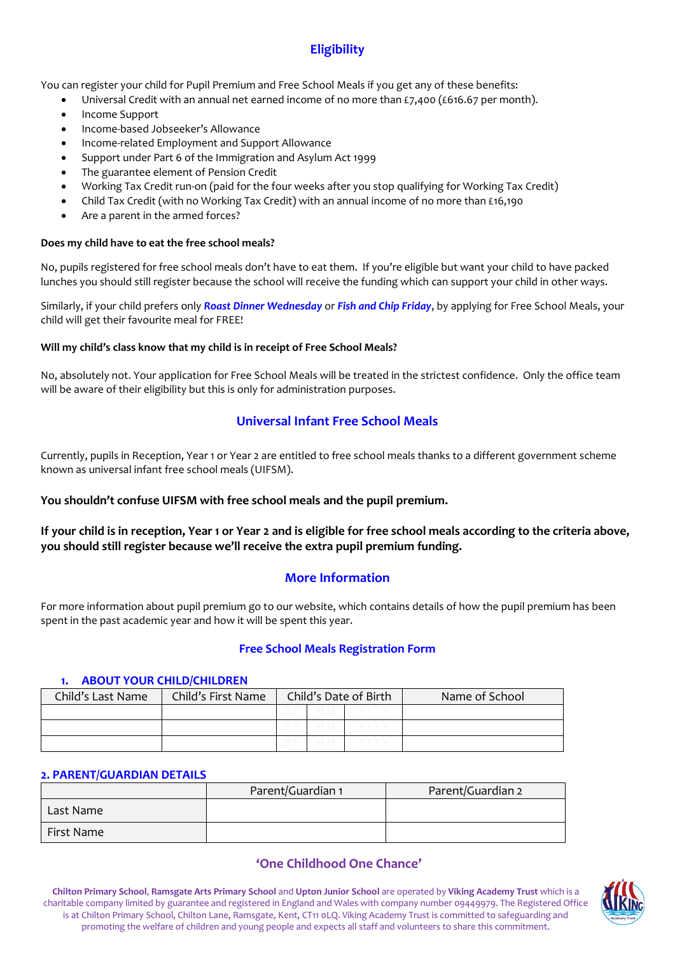## **Eligibility**

You can register your child for Pupil Premium and Free School Meals if you get any of these benefits:

- Universal Credit with an annual net earned income of no more than  $\epsilon$ 7,400 (£616.67 per month).
- Income Support
- Income-based Jobseeker's Allowance
- Income-related Employment and Support Allowance
- Support under Part 6 of the Immigration and Asylum Act 1999
- The guarantee element of Pension Credit
- Working Tax Credit run-on (paid for the four weeks after you stop qualifying for Working Tax Credit)
- Child Tax Credit (with no Working Tax Credit) with an annual income of no more than £16,190
- Are a parent in the armed forces?

#### **Does my child have to eat the free school meals?**

No, pupils registered for free school meals don't have to eat them. If you're eligible but want your child to have packed lunches you should still register because the school will receive the funding which can support your child in other ways.

Similarly, if your child prefers only *Roast Dinner Wednesday* or *Fish and Chip Friday*, by applying for Free School Meals, your child will get their favourite meal for FREE!

#### **Will my child's class know that my child is in receipt of Free School Meals?**

No, absolutely not. Your application for Free School Meals will be treated in the strictest confidence. Only the office team will be aware of their eligibility but this is only for administration purposes.

#### **Universal Infant Free School Meals**

Currently, pupils in Reception, Year 1 or Year 2 are entitled to free school meals thanks to a different government scheme known as universal infant free school meals (UIFSM).

#### **You shouldn't confuse UIFSM with free school meals and the pupil premium.**

**If your child is in reception, Year 1 or Year 2 and is eligible for free school meals according to the criteria above, you should still register because we'll receive the extra pupil premium funding.**

#### **More Information**

For more information about pupil premium go to our website, which contains details of how the pupil premium has been spent in the past academic year and how it will be spent this year.

#### **Free School Meals Registration Form**

#### **1. ABOUT YOUR CHILD/CHILDREN**

| Child's Last Name | Child's First Name |  | Child's Date of Birth | Name of School |
|-------------------|--------------------|--|-----------------------|----------------|
|                   |                    |  |                       |                |
|                   |                    |  |                       |                |
|                   |                    |  |                       |                |

#### **2. PARENT/GUARDIAN DETAILS**

|            | Parent/Guardian 1 | Parent/Guardian 2 |  |  |
|------------|-------------------|-------------------|--|--|
| Last Name  |                   |                   |  |  |
| First Name |                   |                   |  |  |

#### **'One Childhood One Chance'**

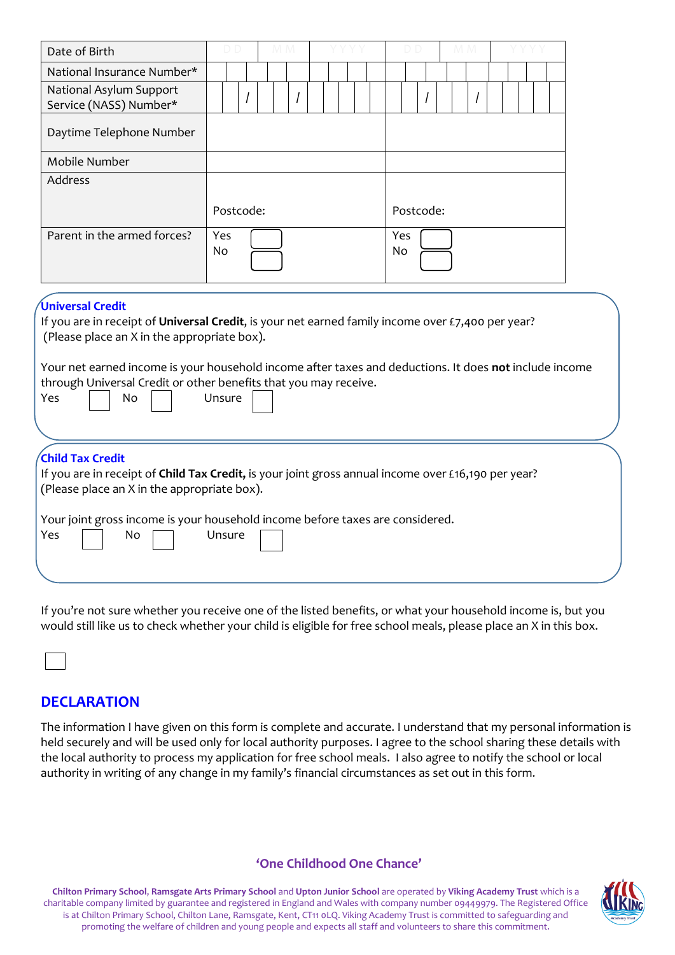| Date of Birth                                                                                                                                                                                                                                                                                                                                                             |                       |  |  |                  |  |  |  |  |  |
|---------------------------------------------------------------------------------------------------------------------------------------------------------------------------------------------------------------------------------------------------------------------------------------------------------------------------------------------------------------------------|-----------------------|--|--|------------------|--|--|--|--|--|
| National Insurance Number*                                                                                                                                                                                                                                                                                                                                                |                       |  |  |                  |  |  |  |  |  |
| National Asylum Support<br>Service (NASS) Number*                                                                                                                                                                                                                                                                                                                         |                       |  |  |                  |  |  |  |  |  |
| Daytime Telephone Number                                                                                                                                                                                                                                                                                                                                                  |                       |  |  |                  |  |  |  |  |  |
| Mobile Number                                                                                                                                                                                                                                                                                                                                                             |                       |  |  |                  |  |  |  |  |  |
| <b>Address</b>                                                                                                                                                                                                                                                                                                                                                            |                       |  |  |                  |  |  |  |  |  |
|                                                                                                                                                                                                                                                                                                                                                                           | Postcode:             |  |  | Postcode:        |  |  |  |  |  |
| Parent in the armed forces?                                                                                                                                                                                                                                                                                                                                               | Yes<br>N <sub>o</sub> |  |  | Yes<br><b>No</b> |  |  |  |  |  |
| Universal Credit<br>If you are in receipt of Universal Credit, is your net earned family income over £7,400 per year?<br>(Please place an X in the appropriate box).<br>Your net earned income is your household income after taxes and deductions. It does not include income<br>through Universal Credit or other benefits that you may receive.<br>Yes<br>No<br>Unsure |                       |  |  |                  |  |  |  |  |  |
| Child Tax Credit<br>If you are in receipt of Child Tax Credit, is your joint gross annual income over £16,190 per year?<br>(Please place an X in the appropriate box).                                                                                                                                                                                                    |                       |  |  |                  |  |  |  |  |  |
| Your joint gross income is your household income before taxes are considered.<br>Yes<br>No                                                                                                                                                                                                                                                                                | Unsure                |  |  |                  |  |  |  |  |  |

If you're not sure whether you receive one of the listed benefits, or what your household income is, but you would still like us to check whether your child is eligible for free school meals, please place an X in this box.

**DECLARATION**

The information I have given on this form is complete and accurate. I understand that my personal information is held securely and will be used only for local authority purposes. I agree to the school sharing these details with the local authority to process my application for free school meals. I also agree to notify the school or local authority in writing of any change in my family's financial circumstances as set out in this form.

#### **'One Childhood One Chance'**